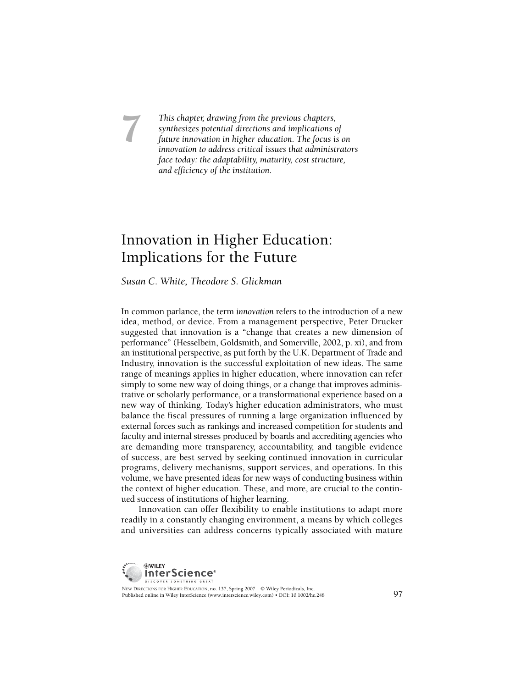*This chapter, drawing from the previous chapters, synthesizes potential directions and implications of future innovation in higher education. The focus is on innovation to address critical issues that administrators face today: the adaptability, maturity, cost structure, and efficiency of the institution.*

# Innovation in Higher Education: Implications for the Future

*Susan C. White, Theodore S. Glickman*

7

In common parlance, the term *innovation* refers to the introduction of a new idea, method, or device. From a management perspective, Peter Drucker suggested that innovation is a "change that creates a new dimension of performance" (Hesselbein, Goldsmith, and Somerville, 2002, p. xi), and from an institutional perspective, as put forth by the U.K. Department of Trade and Industry, innovation is the successful exploitation of new ideas. The same range of meanings applies in higher education, where innovation can refer simply to some new way of doing things, or a change that improves administrative or scholarly performance, or a transformational experience based on a new way of thinking. Today's higher education administrators, who must balance the fiscal pressures of running a large organization influenced by external forces such as rankings and increased competition for students and faculty and internal stresses produced by boards and accrediting agencies who are demanding more transparency, accountability, and tangible evidence of success, are best served by seeking continued innovation in curricular programs, delivery mechanisms, support services, and operations. In this volume, we have presented ideas for new ways of conducting business within the context of higher education. These, and more, are crucial to the continued success of institutions of higher learning.

Innovation can offer flexibility to enable institutions to adapt more readily in a constantly changing environment, a means by which colleges and universities can address concerns typically associated with mature



NEW DIRECTIONS FOR HIGHER EDUCATION, no. 137, Spring 2007 © Wiley Periodicals, Inc. Published online in Wiley InterScience (www.interscience.wiley.com) • DOI: 10.1002/he.248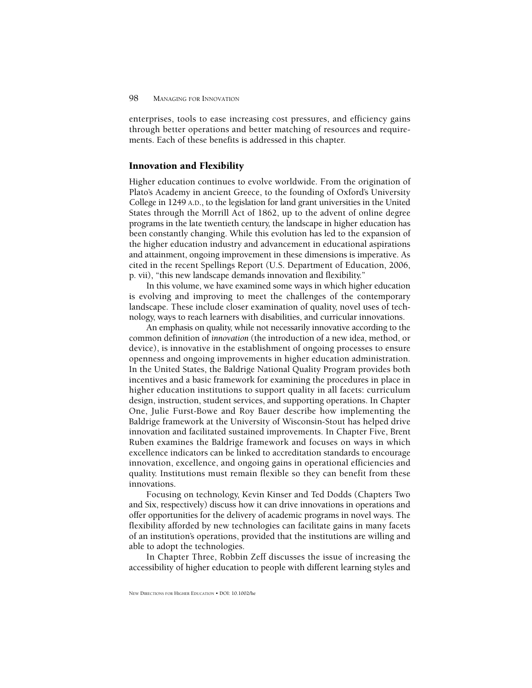enterprises, tools to ease increasing cost pressures, and efficiency gains through better operations and better matching of resources and requirements. Each of these benefits is addressed in this chapter.

## Innovation and Flexibility

Higher education continues to evolve worldwide. From the origination of Plato's Academy in ancient Greece, to the founding of Oxford's University College in 1249 A.D., to the legislation for land grant universities in the United States through the Morrill Act of 1862, up to the advent of online degree programs in the late twentieth century, the landscape in higher education has been constantly changing. While this evolution has led to the expansion of the higher education industry and advancement in educational aspirations and attainment, ongoing improvement in these dimensions is imperative. As cited in the recent Spellings Report (U.S. Department of Education, 2006, p. vii), "this new landscape demands innovation and flexibility."

In this volume, we have examined some ways in which higher education is evolving and improving to meet the challenges of the contemporary landscape. These include closer examination of quality, novel uses of technology, ways to reach learners with disabilities, and curricular innovations.

An emphasis on quality, while not necessarily innovative according to the common definition of *innovation* (the introduction of a new idea, method, or device), is innovative in the establishment of ongoing processes to ensure openness and ongoing improvements in higher education administration. In the United States, the Baldrige National Quality Program provides both incentives and a basic framework for examining the procedures in place in higher education institutions to support quality in all facets: curriculum design, instruction, student services, and supporting operations. In Chapter One, Julie Furst-Bowe and Roy Bauer describe how implementing the Baldrige framework at the University of Wisconsin-Stout has helped drive innovation and facilitated sustained improvements. In Chapter Five, Brent Ruben examines the Baldrige framework and focuses on ways in which excellence indicators can be linked to accreditation standards to encourage innovation, excellence, and ongoing gains in operational efficiencies and quality. Institutions must remain flexible so they can benefit from these innovations.

Focusing on technology, Kevin Kinser and Ted Dodds (Chapters Two and Six, respectively) discuss how it can drive innovations in operations and offer opportunities for the delivery of academic programs in novel ways. The flexibility afforded by new technologies can facilitate gains in many facets of an institution's operations, provided that the institutions are willing and able to adopt the technologies.

In Chapter Three, Robbin Zeff discusses the issue of increasing the accessibility of higher education to people with different learning styles and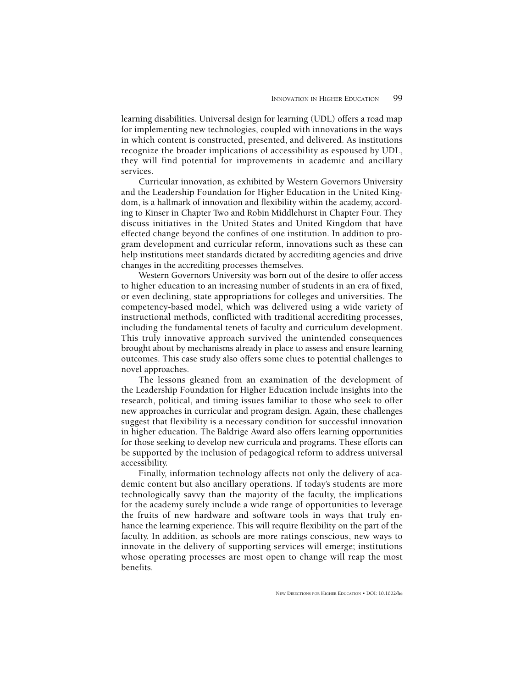learning disabilities. Universal design for learning (UDL) offers a road map for implementing new technologies, coupled with innovations in the ways in which content is constructed, presented, and delivered. As institutions recognize the broader implications of accessibility as espoused by UDL, they will find potential for improvements in academic and ancillary services.

Curricular innovation, as exhibited by Western Governors University and the Leadership Foundation for Higher Education in the United Kingdom, is a hallmark of innovation and flexibility within the academy, according to Kinser in Chapter Two and Robin Middlehurst in Chapter Four. They discuss initiatives in the United States and United Kingdom that have effected change beyond the confines of one institution. In addition to program development and curricular reform, innovations such as these can help institutions meet standards dictated by accrediting agencies and drive changes in the accrediting processes themselves.

Western Governors University was born out of the desire to offer access to higher education to an increasing number of students in an era of fixed, or even declining, state appropriations for colleges and universities. The competency-based model, which was delivered using a wide variety of instructional methods, conflicted with traditional accrediting processes, including the fundamental tenets of faculty and curriculum development. This truly innovative approach survived the unintended consequences brought about by mechanisms already in place to assess and ensure learning outcomes. This case study also offers some clues to potential challenges to novel approaches.

The lessons gleaned from an examination of the development of the Leadership Foundation for Higher Education include insights into the research, political, and timing issues familiar to those who seek to offer new approaches in curricular and program design. Again, these challenges suggest that flexibility is a necessary condition for successful innovation in higher education. The Baldrige Award also offers learning opportunities for those seeking to develop new curricula and programs. These efforts can be supported by the inclusion of pedagogical reform to address universal accessibility.

Finally, information technology affects not only the delivery of academic content but also ancillary operations. If today's students are more technologically savvy than the majority of the faculty, the implications for the academy surely include a wide range of opportunities to leverage the fruits of new hardware and software tools in ways that truly enhance the learning experience. This will require flexibility on the part of the faculty. In addition, as schools are more ratings conscious, new ways to innovate in the delivery of supporting services will emerge; institutions whose operating processes are most open to change will reap the most benefits.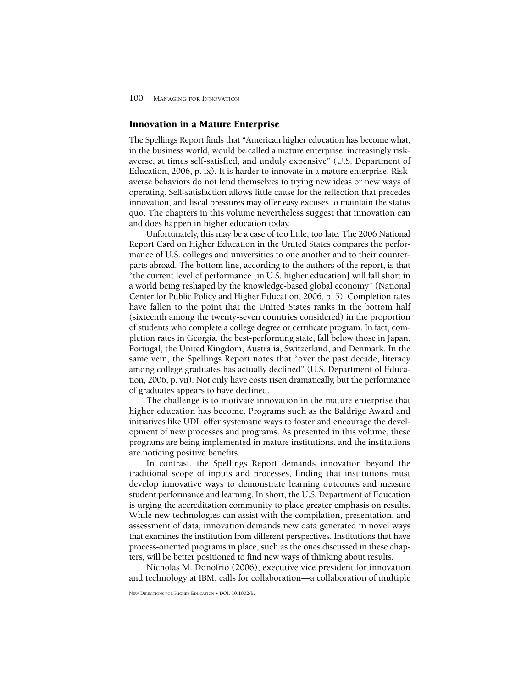## Innovation in a Mature Enterprise

The Spellings Report finds that "American higher education has become what, in the business world, would be called a mature enterprise: increasingly riskaverse, at times self-satisfied, and unduly expensive" (U.S. Department of Education, 2006, p. ix). It is harder to innovate in a mature enterprise. Riskaverse behaviors do not lend themselves to trying new ideas or new ways of operating. Self-satisfaction allows little cause for the reflection that precedes innovation, and fiscal pressures may offer easy excuses to maintain the status quo. The chapters in this volume nevertheless suggest that innovation can and does happen in higher education today.

Unfortunately, this may be a case of too little, too late. The 2006 National Report Card on Higher Education in the United States compares the performance of U.S. colleges and universities to one another and to their counterparts abroad. The bottom line, according to the authors of the report, is that "the current level of performance [in U.S. higher education] will fall short in a world being reshaped by the knowledge-based global economy" (National Center for Public Policy and Higher Education, 2006, p. 5). Completion rates have fallen to the point that the United States ranks in the bottom half (sixteenth among the twenty-seven countries considered) in the proportion of students who complete a college degree or certificate program. In fact, completion rates in Georgia, the best-performing state, fall below those in Japan, Portugal, the United Kingdom, Australia, Switzerland, and Denmark. In the same vein, the Spellings Report notes that "over the past decade, literacy among college graduates has actually declined" (U.S. Department of Education, 2006, p. vii). Not only have costs risen dramatically, but the performance of graduates appears to have declined.

The challenge is to motivate innovation in the mature enterprise that higher education has become. Programs such as the Baldrige Award and initiatives like UDL offer systematic ways to foster and encourage the development of new processes and programs. As presented in this volume, these programs are being implemented in mature institutions, and the institutions are noticing positive benefits.

In contrast, the Spellings Report demands innovation beyond the traditional scope of inputs and processes, finding that institutions must develop innovative ways to demonstrate learning outcomes and measure student performance and learning. In short, the U.S. Department of Education is urging the accreditation community to place greater emphasis on results. While new technologies can assist with the compilation, presentation, and assessment of data, innovation demands new data generated in novel ways that examines the institution from different perspectives. Institutions that have process-oriented programs in place, such as the ones discussed in these chapters, will be better positioned to find new ways of thinking about results.

Nicholas M. Donofrio (2006), executive vice president for innovation and technology at IBM, calls for collaboration—a collaboration of multiple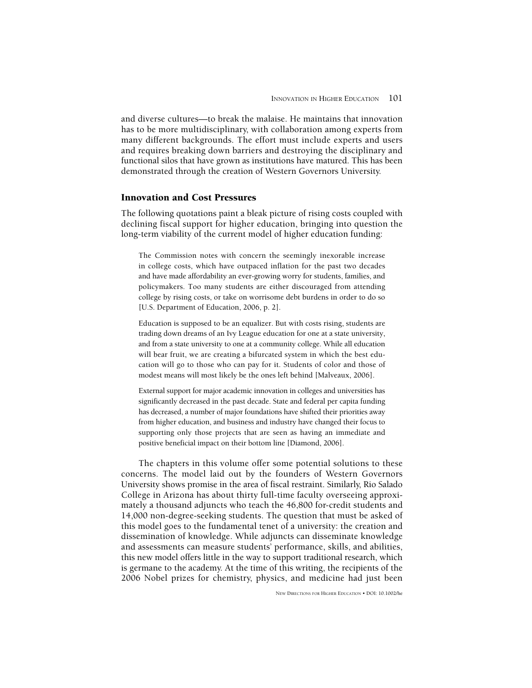and diverse cultures—to break the malaise. He maintains that innovation has to be more multidisciplinary, with collaboration among experts from many different backgrounds. The effort must include experts and users and requires breaking down barriers and destroying the disciplinary and functional silos that have grown as institutions have matured. This has been demonstrated through the creation of Western Governors University.

# Innovation and Cost Pressures

The following quotations paint a bleak picture of rising costs coupled with declining fiscal support for higher education, bringing into question the long-term viability of the current model of higher education funding:

The Commission notes with concern the seemingly inexorable increase in college costs, which have outpaced inflation for the past two decades and have made affordability an ever-growing worry for students, families, and policymakers. Too many students are either discouraged from attending college by rising costs, or take on worrisome debt burdens in order to do so [U.S. Department of Education, 2006, p. 2].

Education is supposed to be an equalizer. But with costs rising, students are trading down dreams of an Ivy League education for one at a state university, and from a state university to one at a community college. While all education will bear fruit, we are creating a bifurcated system in which the best education will go to those who can pay for it. Students of color and those of modest means will most likely be the ones left behind [Malveaux, 2006].

External support for major academic innovation in colleges and universities has significantly decreased in the past decade. State and federal per capita funding has decreased, a number of major foundations have shifted their priorities away from higher education, and business and industry have changed their focus to supporting only those projects that are seen as having an immediate and positive beneficial impact on their bottom line [Diamond, 2006].

The chapters in this volume offer some potential solutions to these concerns. The model laid out by the founders of Western Governors University shows promise in the area of fiscal restraint. Similarly, Rio Salado College in Arizona has about thirty full-time faculty overseeing approximately a thousand adjuncts who teach the 46,800 for-credit students and 14,000 non-degree-seeking students. The question that must be asked of this model goes to the fundamental tenet of a university: the creation and dissemination of knowledge. While adjuncts can disseminate knowledge and assessments can measure students' performance, skills, and abilities, this new model offers little in the way to support traditional research, which is germane to the academy. At the time of this writing, the recipients of the 2006 Nobel prizes for chemistry, physics, and medicine had just been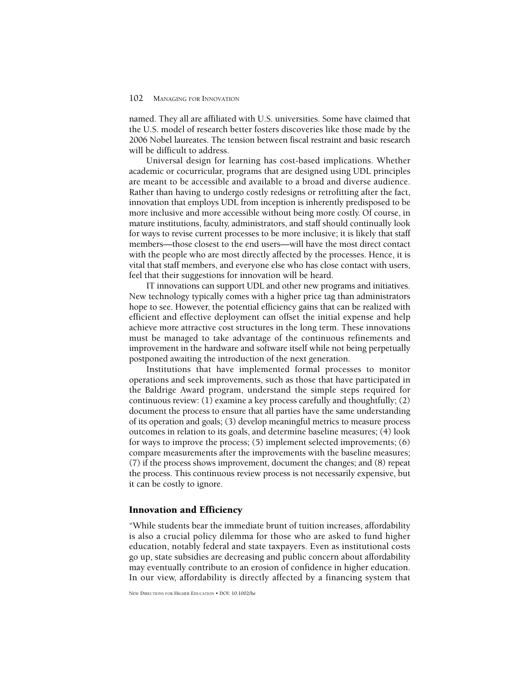named. They all are affiliated with U.S. universities. Some have claimed that the U.S. model of research better fosters discoveries like those made by the 2006 Nobel laureates. The tension between fiscal restraint and basic research will be difficult to address.

Universal design for learning has cost-based implications. Whether academic or cocurricular, programs that are designed using UDL principles are meant to be accessible and available to a broad and diverse audience. Rather than having to undergo costly redesigns or retrofitting after the fact, innovation that employs UDL from inception is inherently predisposed to be more inclusive and more accessible without being more costly. Of course, in mature institutions, faculty, administrators, and staff should continually look for ways to revise current processes to be more inclusive; it is likely that staff members—those closest to the end users—will have the most direct contact with the people who are most directly affected by the processes. Hence, it is vital that staff members, and everyone else who has close contact with users, feel that their suggestions for innovation will be heard.

IT innovations can support UDL and other new programs and initiatives. New technology typically comes with a higher price tag than administrators hope to see. However, the potential efficiency gains that can be realized with efficient and effective deployment can offset the initial expense and help achieve more attractive cost structures in the long term. These innovations must be managed to take advantage of the continuous refinements and improvement in the hardware and software itself while not being perpetually postponed awaiting the introduction of the next generation.

Institutions that have implemented formal processes to monitor operations and seek improvements, such as those that have participated in the Baldrige Award program, understand the simple steps required for continuous review: (1) examine a key process carefully and thoughtfully; (2) document the process to ensure that all parties have the same understanding of its operation and goals; (3) develop meaningful metrics to measure process outcomes in relation to its goals, and determine baseline measures; (4) look for ways to improve the process; (5) implement selected improvements; (6) compare measurements after the improvements with the baseline measures; (7) if the process shows improvement, document the changes; and (8) repeat the process. This continuous review process is not necessarily expensive, but it can be costly to ignore.

## Innovation and Efficiency

"While students bear the immediate brunt of tuition increases, affordability is also a crucial policy dilemma for those who are asked to fund higher education, notably federal and state taxpayers. Even as institutional costs go up, state subsidies are decreasing and public concern about affordability may eventually contribute to an erosion of confidence in higher education. In our view, affordability is directly affected by a financing system that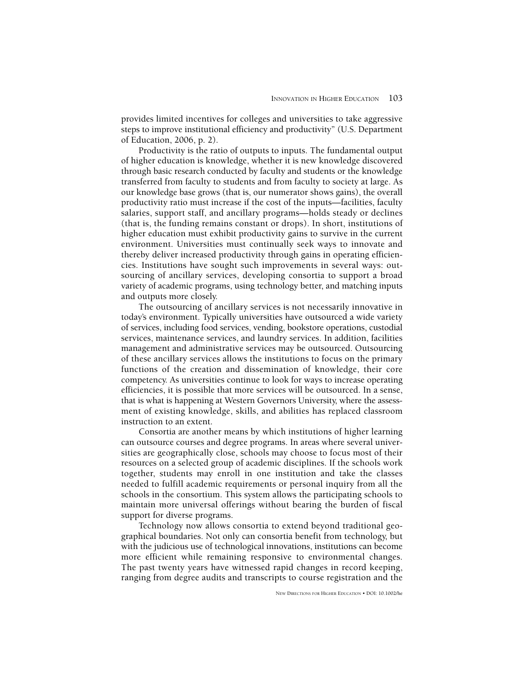provides limited incentives for colleges and universities to take aggressive steps to improve institutional efficiency and productivity" (U.S. Department of Education, 2006, p. 2).

Productivity is the ratio of outputs to inputs. The fundamental output of higher education is knowledge, whether it is new knowledge discovered through basic research conducted by faculty and students or the knowledge transferred from faculty to students and from faculty to society at large. As our knowledge base grows (that is, our numerator shows gains), the overall productivity ratio must increase if the cost of the inputs—facilities, faculty salaries, support staff, and ancillary programs—holds steady or declines (that is, the funding remains constant or drops). In short, institutions of higher education must exhibit productivity gains to survive in the current environment. Universities must continually seek ways to innovate and thereby deliver increased productivity through gains in operating efficiencies. Institutions have sought such improvements in several ways: outsourcing of ancillary services, developing consortia to support a broad variety of academic programs, using technology better, and matching inputs and outputs more closely.

The outsourcing of ancillary services is not necessarily innovative in today's environment. Typically universities have outsourced a wide variety of services, including food services, vending, bookstore operations, custodial services, maintenance services, and laundry services. In addition, facilities management and administrative services may be outsourced. Outsourcing of these ancillary services allows the institutions to focus on the primary functions of the creation and dissemination of knowledge, their core competency. As universities continue to look for ways to increase operating efficiencies, it is possible that more services will be outsourced. In a sense, that is what is happening at Western Governors University, where the assessment of existing knowledge, skills, and abilities has replaced classroom instruction to an extent.

Consortia are another means by which institutions of higher learning can outsource courses and degree programs. In areas where several universities are geographically close, schools may choose to focus most of their resources on a selected group of academic disciplines. If the schools work together, students may enroll in one institution and take the classes needed to fulfill academic requirements or personal inquiry from all the schools in the consortium. This system allows the participating schools to maintain more universal offerings without bearing the burden of fiscal support for diverse programs.

Technology now allows consortia to extend beyond traditional geographical boundaries. Not only can consortia benefit from technology, but with the judicious use of technological innovations, institutions can become more efficient while remaining responsive to environmental changes. The past twenty years have witnessed rapid changes in record keeping, ranging from degree audits and transcripts to course registration and the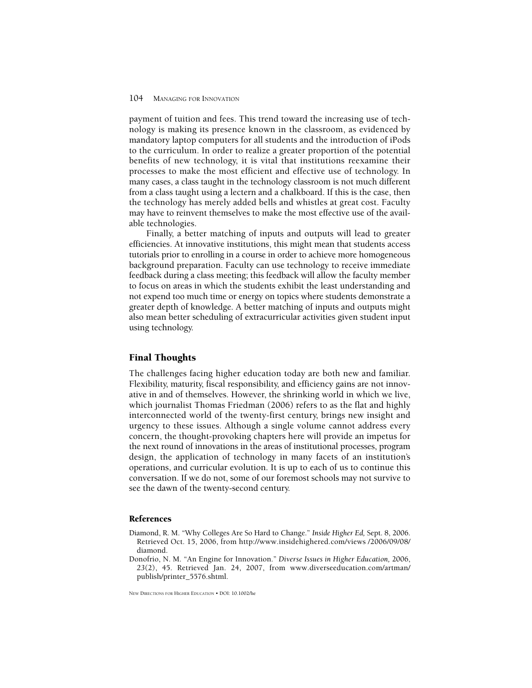payment of tuition and fees. This trend toward the increasing use of technology is making its presence known in the classroom, as evidenced by mandatory laptop computers for all students and the introduction of iPods to the curriculum. In order to realize a greater proportion of the potential benefits of new technology, it is vital that institutions reexamine their processes to make the most efficient and effective use of technology. In many cases, a class taught in the technology classroom is not much different from a class taught using a lectern and a chalkboard. If this is the case, then the technology has merely added bells and whistles at great cost. Faculty may have to reinvent themselves to make the most effective use of the available technologies.

Finally, a better matching of inputs and outputs will lead to greater efficiencies. At innovative institutions, this might mean that students access tutorials prior to enrolling in a course in order to achieve more homogeneous background preparation. Faculty can use technology to receive immediate feedback during a class meeting; this feedback will allow the faculty member to focus on areas in which the students exhibit the least understanding and not expend too much time or energy on topics where students demonstrate a greater depth of knowledge. A better matching of inputs and outputs might also mean better scheduling of extracurricular activities given student input using technology.

# Final Thoughts

The challenges facing higher education today are both new and familiar. Flexibility, maturity, fiscal responsibility, and efficiency gains are not innovative in and of themselves. However, the shrinking world in which we live, which journalist Thomas Friedman (2006) refers to as the flat and highly interconnected world of the twenty-first century, brings new insight and urgency to these issues. Although a single volume cannot address every concern, the thought-provoking chapters here will provide an impetus for the next round of innovations in the areas of institutional processes, program design, the application of technology in many facets of an institution's operations, and curricular evolution. It is up to each of us to continue this conversation. If we do not, some of our foremost schools may not survive to see the dawn of the twenty-second century.

#### References

- Diamond, R. M. "Why Colleges Are So Hard to Change." *Inside Higher Ed,* Sept. 8, 2006. Retrieved Oct. 15, 2006, from http://www.insidehighered.com/views /2006/09/08/ diamond.
- Donofrio, N. M. "An Engine for Innovation." *Diverse Issues in Higher Education,* 2006, *23*(2), 45. Retrieved Jan. 24, 2007, from www.diverseeducation.com/artman/ publish/printer\_5576.shtml.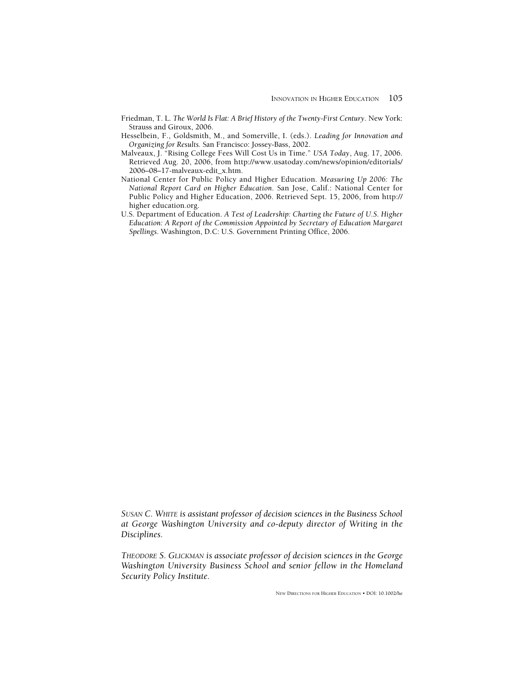- Friedman, T. L. *The World Is Flat: A Brief History of the Twenty-First Century*. New York: Strauss and Giroux, 2006.
- Hesselbein, F., Goldsmith, M., and Somerville, I. (eds.). *Leading for Innovation and Organizing for Results.* San Francisco: Jossey-Bass, 2002.
- Malveaux, J. "Rising College Fees Will Cost Us in Time." *USA Today*, Aug. 17, 2006. Retrieved Aug. 20, 2006, from http://www.usatoday.com/news/opinion/editorials/ 2006–08–17-malveaux-edit\_x.htm.
- National Center for Public Policy and Higher Education. *Measuring Up 2006: The National Report Card on Higher Education.* San Jose, Calif.: National Center for Public Policy and Higher Education, 2006. Retrieved Sept. 15, 2006, from http:// higher education.org.
- U.S. Department of Education. *A Test of Leadership: Charting the Future of U.S. Higher Education: A Report of the Commission Appointed by Secretary of Education Margaret Spellings*. Washington, D.C: U.S. Government Printing Office, 2006.

*SUSAN C. WHITE is assistant professor of decision sciences in the Business School at George Washington University and co-deputy director of Writing in the Disciplines.*

*THEODORE S. GLICKMAN is associate professor of decision sciences in the George Washington University Business School and senior fellow in the Homeland Security Policy Institute.*